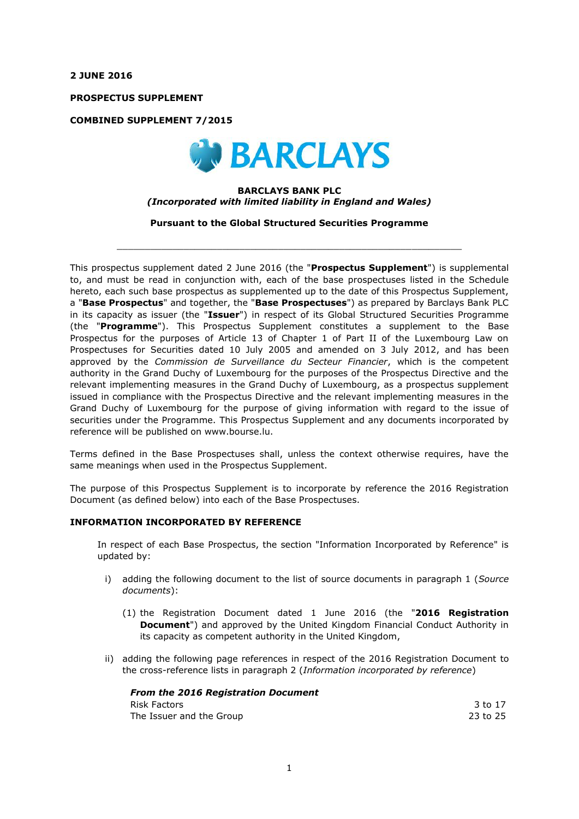**2 JUNE 2016**

**PROSPECTUS SUPPLEMENT**

**COMBINED SUPPLEMENT 7/2015**



## **BARCLAYS BANK PLC** *(Incorporated with limited liability in England and Wales)*

**Pursuant to the Global Structured Securities Programme**

 $\_$  , and the set of the set of the set of the set of the set of the set of the set of the set of the set of the set of the set of the set of the set of the set of the set of the set of the set of the set of the set of th

This prospectus supplement dated 2 June 2016 (the "**Prospectus Supplement**") is supplemental to, and must be read in conjunction with, each of the base prospectuses listed in the Schedule hereto, each such base prospectus as supplemented up to the date of this Prospectus Supplement, a "**Base Prospectus**" and together, the "**Base Prospectuses**") as prepared by Barclays Bank PLC in its capacity as issuer (the "**Issuer**") in respect of its Global Structured Securities Programme (the "**Programme**"). This Prospectus Supplement constitutes a supplement to the Base Prospectus for the purposes of Article 13 of Chapter 1 of Part II of the Luxembourg Law on Prospectuses for Securities dated 10 July 2005 and amended on 3 July 2012, and has been approved by the *Commission de Surveillance du Secteur Financier*, which is the competent authority in the Grand Duchy of Luxembourg for the purposes of the Prospectus Directive and the relevant implementing measures in the Grand Duchy of Luxembourg, as a prospectus supplement issued in compliance with the Prospectus Directive and the relevant implementing measures in the Grand Duchy of Luxembourg for the purpose of giving information with regard to the issue of securities under the Programme. This Prospectus Supplement and any documents incorporated by reference will be published on www.bourse.lu.

Terms defined in the Base Prospectuses shall, unless the context otherwise requires, have the same meanings when used in the Prospectus Supplement.

The purpose of this Prospectus Supplement is to incorporate by reference the 2016 Registration Document (as defined below) into each of the Base Prospectuses.

## **INFORMATION INCORPORATED BY REFERENCE**

In respect of each Base Prospectus, the section "Information Incorporated by Reference" is updated by:

- i) adding the following document to the list of source documents in paragraph 1 (*Source documents*):
	- (1) the Registration Document dated 1 June 2016 (the "**2016 Registration Document**") and approved by the United Kingdom Financial Conduct Authority in its capacity as competent authority in the United Kingdom,
- ii) adding the following page references in respect of the 2016 Registration Document to the cross-reference lists in paragraph 2 (*Information incorporated by reference*)

| <b>From the 2016 Registration Document</b> |          |
|--------------------------------------------|----------|
| Risk Factors                               | 3 to 17  |
| The Issuer and the Group                   | 23 to 25 |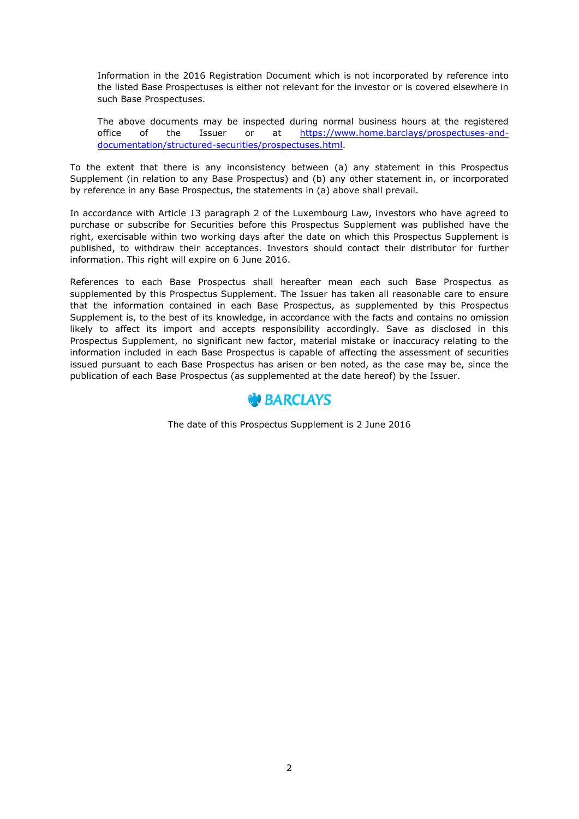Information in the 2016 Registration Document which is not incorporated by reference into the listed Base Prospectuses is either not relevant for the investor or is covered elsewhere in such Base Prospectuses.

The above documents may be inspected during normal business hours at the registered office of the Issuer or at https://www.home.barclays/prospectuses-anddocumentation/structured-securities/prospectuses.html.

To the extent that there is any inconsistency between (a) any statement in this Prospectus Supplement (in relation to any Base Prospectus) and (b) any other statement in, or incorporated by reference in any Base Prospectus, the statements in (a) above shall prevail.

In accordance with Article 13 paragraph 2 of the Luxembourg Law, investors who have agreed to purchase or subscribe for Securities before this Prospectus Supplement was published have the right, exercisable within two working days after the date on which this Prospectus Supplement is published, to withdraw their acceptances. Investors should contact their distributor for further information. This right will expire on 6 June 2016.

References to each Base Prospectus shall hereafter mean each such Base Prospectus as supplemented by this Prospectus Supplement. The Issuer has taken all reasonable care to ensure that the information contained in each Base Prospectus, as supplemented by this Prospectus Supplement is, to the best of its knowledge, in accordance with the facts and contains no omission likely to affect its import and accepts responsibility accordingly. Save as disclosed in this Prospectus Supplement, no significant new factor, material mistake or inaccuracy relating to the information included in each Base Prospectus is capable of affecting the assessment of securities issued pursuant to each Base Prospectus has arisen or ben noted, as the case may be, since the publication of each Base Prospectus (as supplemented at the date hereof) by the Issuer.



The date of this Prospectus Supplement is 2 June 2016